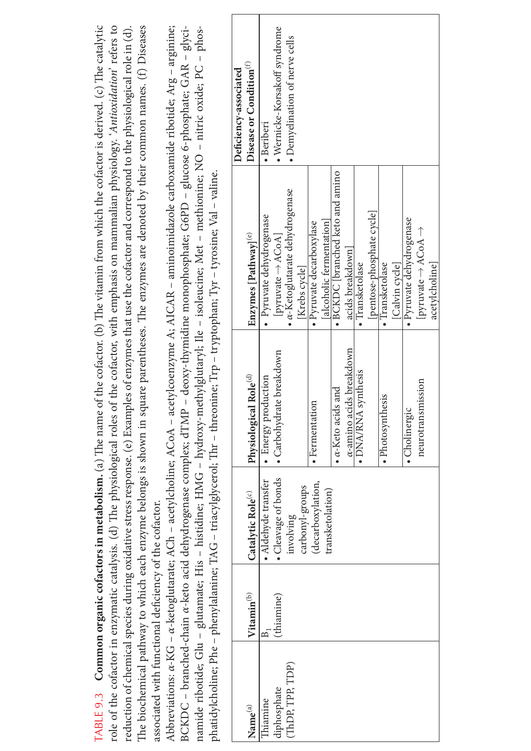|                                                        |                        | role of the cofactor in enzymatic catalysis. (d) The physiological roles |                                    | reduction of chemical species during oxidative stress response. (e) Examples of enzymes that use the cofactor and correspond to the physiological role in (d).<br>of the cofactor, with emphasis on mammalian physiology. 'Antioxidation' refers to                                            |                                     |
|--------------------------------------------------------|------------------------|--------------------------------------------------------------------------|------------------------------------|------------------------------------------------------------------------------------------------------------------------------------------------------------------------------------------------------------------------------------------------------------------------------------------------|-------------------------------------|
| associated with functional deficiency of the cofactor. |                        |                                                                          |                                    | The biochemical pathway to which each enzyme belongs is shown in square parentheses. The enzymes are denoted by their common names. (f) Diseases                                                                                                                                               |                                     |
|                                                        |                        |                                                                          |                                    | Abbreviations: $\alpha$ -KG – $\alpha$ -ketoglutarate; ACh – acetylcholine; ACoA – acetylcoenzyme A; AICAR – aminoimidazole carboxamide ribotide; Arg – arginine;                                                                                                                              |                                     |
|                                                        |                        |                                                                          |                                    | BCKDC – branched-chain α-keto acid dehydrogenase complex; dTMP – deoxy-thymidine monophosphate; G6PD – glucose 6-phosphate; GAR – glyci-<br>namide ribotide; Glu - glutamate; His - histidine; HMG - hydroxy-methylglutaryl; Ile - isoleucine; Met - methionine; NO - nitric oxide; PC - phos- |                                     |
|                                                        |                        |                                                                          |                                    | phatidylcholine; Phe – phenylalanine; TAG – triacylglycerol; Thr – threonine; Trp – tryptophan; Tyr – tyrosine; Val – valine.                                                                                                                                                                  |                                     |
|                                                        |                        |                                                                          |                                    |                                                                                                                                                                                                                                                                                                | Deficiency-associated               |
| $\mathbf{Name}^{(a)}$                                  | Vitamin <sup>(b)</sup> | Catalytic Role <sup>(c)</sup>                                            | Physiological Role <sup>(d)</sup>  | Enzymes [Pathway] <sup>(e)</sup>                                                                                                                                                                                                                                                               | Disease or Condition <sup>(f)</sup> |
| Thiamine                                               | $\Xi$                  | • Aldehyde transfer                                                      | · Energy production                | · Pyruvate dehydrogenase                                                                                                                                                                                                                                                                       | $\bullet$ Beriberi                  |
| diphosphate                                            | (thiamine)             | · Cleavage of bonds                                                      | • Carbohydrate breakdown           | pyruvate $\rightarrow$ ACoA                                                                                                                                                                                                                                                                    | · Wernicke-Korsakoff syndrome       |
| (ThDP, TPP, TDP)                                       |                        | involving                                                                |                                    | $\bullet$ $\alpha$ -Ketoglutarate dehydrogenase                                                                                                                                                                                                                                                | • Demyelination of nerve cells      |
|                                                        |                        | carbonyl-groups                                                          |                                    | [Krebs cycle]                                                                                                                                                                                                                                                                                  |                                     |
|                                                        |                        | (decarboxylation,                                                        | · Fermentation                     | · Pyruvate decarboxylase                                                                                                                                                                                                                                                                       |                                     |
|                                                        |                        | transketolation)                                                         |                                    | [alcoholic fermentation]                                                                                                                                                                                                                                                                       |                                     |
|                                                        |                        |                                                                          | $\bullet$ $\alpha$ -Keto acids and | $\bullet$ BCKDC [branched keto and amino                                                                                                                                                                                                                                                       |                                     |
|                                                        |                        |                                                                          | $\alpha$ -amino acids breakdown    | acids breakdown                                                                                                                                                                                                                                                                                |                                     |
|                                                        |                        |                                                                          | · DNA/RNA synthesis                | · Transketolase                                                                                                                                                                                                                                                                                |                                     |
|                                                        |                        |                                                                          |                                    | pentose-phosphate cycle                                                                                                                                                                                                                                                                        |                                     |
|                                                        |                        |                                                                          | · Photosynthesis                   | · Transketolase                                                                                                                                                                                                                                                                                |                                     |
|                                                        |                        |                                                                          |                                    | [Calvin cycle]                                                                                                                                                                                                                                                                                 |                                     |
|                                                        |                        |                                                                          | · Cholinergic                      | · Pyruvate dehydrogenase                                                                                                                                                                                                                                                                       |                                     |
|                                                        |                        |                                                                          | neurotransmission                  | $[$ pyruvate $\rightarrow$ ACoA $\rightarrow$                                                                                                                                                                                                                                                  |                                     |
|                                                        |                        |                                                                          |                                    | acetylcholine                                                                                                                                                                                                                                                                                  |                                     |
|                                                        |                        |                                                                          |                                    |                                                                                                                                                                                                                                                                                                |                                     |

TABLE 9.3 Common organic cofactors in metabolism. (a) The name of the cofactor. (b) The vitamin from which the cofactor is derived. (c) The catalytic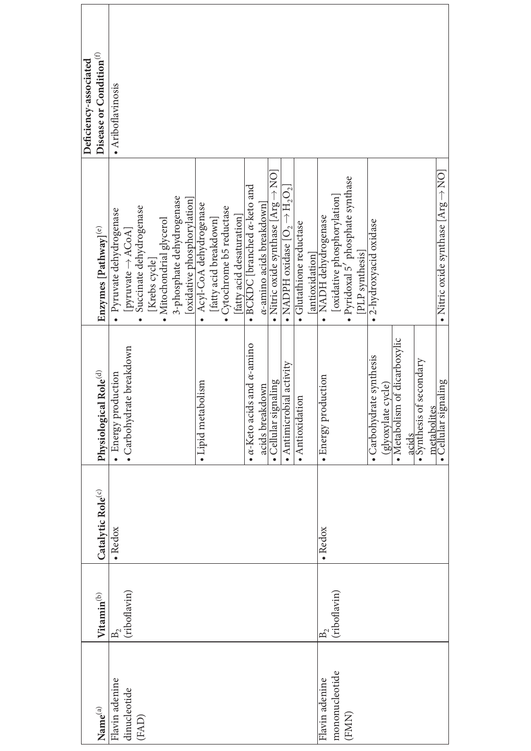|                       |                        |                               |                                                    |                                                | Deficiency-associated               |
|-----------------------|------------------------|-------------------------------|----------------------------------------------------|------------------------------------------------|-------------------------------------|
| $\mathbf{Name}^{(a)}$ | Vitamin <sup>(b)</sup> | Catalytic Role <sup>(c)</sup> | Physiological Role <sup>(d)</sup>                  | Enzymes [Pathway] <sup>(e)</sup>               | Disease or Condition <sup>(f)</sup> |
| Flavin adenine        | R,                     | · Redox                       | · Energy production                                | · Pyruvate dehydrogenase                       | · Ariboflavinosis                   |
| dinucleotide          | (riboflavin)           |                               | · Carbohydrate breakdown                           | [pyruvate $\rightarrow$ ACoA]                  |                                     |
| (FAD)                 |                        |                               |                                                    | Succinate dehydrogenase                        |                                     |
|                       |                        |                               |                                                    | [Krebs cycle]                                  |                                     |
|                       |                        |                               |                                                    | · Mitochondrial glycerol                       |                                     |
|                       |                        |                               |                                                    | 3-phosphate dehydrogenase                      |                                     |
|                       |                        |                               |                                                    | [oxidative phosphorylation]                    |                                     |
|                       |                        |                               | • Lipid metabolism                                 | Acyl-CoA dehydrogenase                         |                                     |
|                       |                        |                               |                                                    | [fatty acid breakdown]                         |                                     |
|                       |                        |                               |                                                    | Cytochrome b5 reductase                        |                                     |
|                       |                        |                               |                                                    | [fatty acid desaturation]                      |                                     |
|                       |                        |                               | $\bullet$ $\alpha$ -Keto acids and $\alpha$ -amino | $\bullet$ BCKDC [branched $\alpha$ -keto and   |                                     |
|                       |                        |                               | acids breakdown                                    | $\alpha$ -amino acids breakdown]               |                                     |
|                       |                        |                               | Cellular signaling                                 | • Nitric oxide synthase [Arg $\rightarrow$ NO] |                                     |
|                       |                        |                               | $\bullet$ Antimicrobial activity                   | • NADPH oxidase $[O_2 \rightarrow H_2O_2]$     |                                     |
|                       |                        |                               | · Antioxidation                                    | · Glutathione reductase                        |                                     |
|                       |                        |                               |                                                    |                                                |                                     |
| Flavin adenine        | ந                      | $\bullet$ Redox               | · Energy production                                | [antioxidation]<br>• NADH dehydrogenase        |                                     |
| mononucleotide        | (riboflavin)           |                               |                                                    | [oxidative phosphorylation]                    |                                     |
| (FMN)                 |                        |                               |                                                    | · Pyridoxal 5' phosphate synthase              |                                     |
|                       |                        |                               |                                                    | [PLP synthesis]                                |                                     |
|                       |                        |                               | · Carbohydrate synthesis                           | 2-hydroxyacid oxidase                          |                                     |
|                       |                        |                               | (glyoxylate cycle)                                 |                                                |                                     |
|                       |                        |                               | • Metabolism of dicarboxylic                       |                                                |                                     |
|                       |                        |                               | acids                                              |                                                |                                     |
|                       |                        |                               | · Synthesis of secondary                           |                                                |                                     |
|                       |                        |                               |                                                    |                                                |                                     |
|                       |                        |                               | metabolites<br>• Cellular signaling                | • Nitric oxide synthase [Arg $\rightarrow$ NO] |                                     |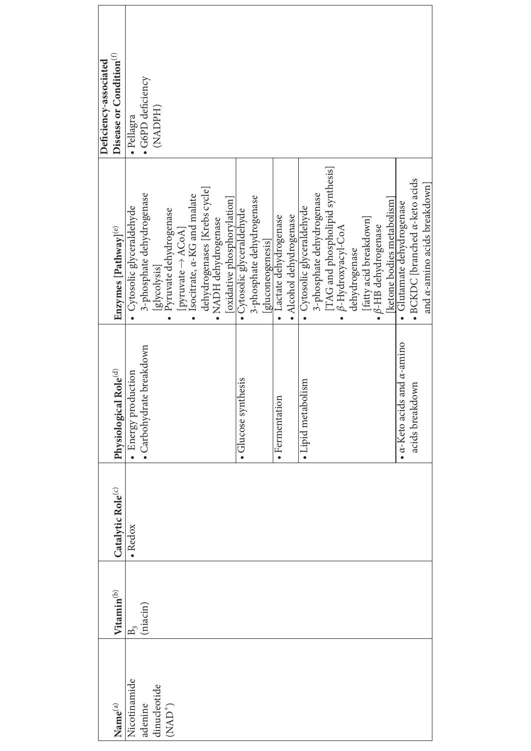|                     |                        |                               |                                                 |                                                      | Deficiency-associated               |
|---------------------|------------------------|-------------------------------|-------------------------------------------------|------------------------------------------------------|-------------------------------------|
| Name <sup>(a)</sup> | Vitamin <sup>(b)</sup> | Catalytic Role <sup>(c)</sup> | Physiological Role <sup>(d)</sup>               | Enzymes [Pathway] <sup>(e)</sup>                     | Disease or Condition <sup>(f)</sup> |
| Nicotinamide        | $B_{\gamma}$           | · Redox                       |                                                 | Cytosolic glyceraldehyde                             | · Pellagra                          |
| adenine             | (niacin)               |                               | • Energy production<br>• Carbohydrate breakdown | 3-phosphate dehydrogenase                            | · G6PD deficiency                   |
| dinucleotide        |                        |                               |                                                 | [glycolysis]                                         | (NADPH)                             |
| $( NAD+)$           |                        |                               |                                                 | Pyruvate dehydrogenase                               |                                     |
|                     |                        |                               |                                                 | [pyruvate $\rightarrow$ ACoA]                        |                                     |
|                     |                        |                               |                                                 | Isocitrate, $\alpha$ -KG and malate                  |                                     |
|                     |                        |                               |                                                 | dehydrogenases [Krebs cycle]<br>• NADH dehydrogenase |                                     |
|                     |                        |                               |                                                 |                                                      |                                     |
|                     |                        |                               |                                                 | [oxidative phosphorylation]                          |                                     |
|                     |                        |                               | thesis<br>· Glucose synt                        | · Cytosolic glyceraldehyde                           |                                     |
|                     |                        |                               |                                                 | 3-phosphate dehydrogenase                            |                                     |
|                     |                        |                               |                                                 | gluconeogenesis                                      |                                     |
|                     |                        |                               | · Fermentation                                  | · Lactate dehydrogenase                              |                                     |
|                     |                        |                               |                                                 | · Alcohol dehydrogenase                              |                                     |
|                     |                        |                               | · Lipid metabolism                              | Cytosolic glyceraldehyde                             |                                     |
|                     |                        |                               |                                                 | 3-phosphate dehydrogenase                            |                                     |
|                     |                        |                               |                                                 | TAG and phospholipid synthesis]                      |                                     |
|                     |                        |                               |                                                 | β-Hydroxyacyl-CoA                                    |                                     |
|                     |                        |                               |                                                 | dehydrogenase                                        |                                     |
|                     |                        |                               |                                                 | [fatty acid breakdown]                               |                                     |
|                     |                        |                               |                                                 | $\bullet$ $\beta$ -HB dehydrogenase                  |                                     |
|                     |                        |                               |                                                 | [ketone bodies metabolism]                           |                                     |
|                     |                        |                               | and $\alpha$ -amino<br>$\alpha$ -Keto acids     | Glutamate dehydrogenase                              |                                     |
|                     |                        |                               | <b>UMD</b><br>acids breakd                      | $\bullet$ BCKDC [branched $\alpha$ -keto acids       |                                     |
|                     |                        |                               |                                                 | and $\alpha$ -amino acids breakdown]                 |                                     |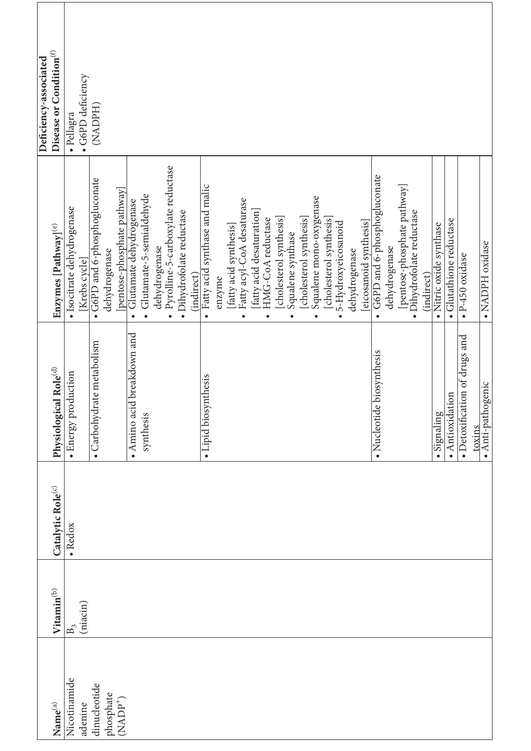| Deficiency-associated | Disease or Condition <sup>(f)</sup> | · G6PD deficiency<br>· Pellagra             | (NADPH)                       |                                   |                                                                     |                                       |               |                                                |                           |            |                                            |        |                        |                                        |                         |                                |                         |                                |                         |                                      |                         |                                  |               |                        |                                          |               |                             |                           |            |                         |                         |                               |                             |
|-----------------------|-------------------------------------|---------------------------------------------|-------------------------------|-----------------------------------|---------------------------------------------------------------------|---------------------------------------|---------------|------------------------------------------------|---------------------------|------------|--------------------------------------------|--------|------------------------|----------------------------------------|-------------------------|--------------------------------|-------------------------|--------------------------------|-------------------------|--------------------------------------|-------------------------|----------------------------------|---------------|------------------------|------------------------------------------|---------------|-----------------------------|---------------------------|------------|-------------------------|-------------------------|-------------------------------|-----------------------------|
|                       | Enzymes [Pathway] <sup>(e)</sup>    | · Isocitrate dehydrogenase<br>[Krebs cycle] | • G6PD and 6-phosphogluconate | dehydrogenase                     | [pentose-phosphate pathway]<br>Glutamate dehydrogenase<br>$\bullet$ | Glutamate-5-semialdehyde<br>$\bullet$ | dehydrogenase | Pyrolline-5-carboxylate reductase<br>$\bullet$ | · Dihydrofolate reductase | (indirect) | Fatty acid synthase and malic<br>$\bullet$ | enzyme | [fatty acid synthesis] | Fatty acyl-CoA desaturase<br>$\bullet$ | fatty acid desaturation | HMG-CoA reductase<br>$\bullet$ | [cholesterol synthesis] | Squalene synthase<br>$\bullet$ | [cholesterol synthesis] | Squalene mono-oxygenase<br>$\bullet$ | [cholesterol synthesis] | 5-Hydroxyeicosanoid<br>$\bullet$ | dehydrogenase | [eicosanoid synthesis] | G6PD and 6-phosphogluconate<br>$\bullet$ | dehydrogenase | [pentose-phosphate pathway] | · Dihydrofolate reductase | (indirect) | · Nitric oxide synthase | · Glutathione reductase | $\bullet$ P-450 oxidase       | · NADPH oxidase             |
|                       | Physiological Role <sup>(d)</sup>   | · Energy production                         | • Carbohydrate metabolism     |                                   | $\bullet$ Amino acid breakdown and                                  | synthesis                             |               |                                                |                           |            | nthesis<br>• Lipid biosy                   |        |                        |                                        |                         |                                |                         |                                |                         |                                      |                         |                                  |               |                        | biosynthesis<br>· Nucleotide             |               |                             |                           |            | Signaling               | $\bullet$ Antioxidation | • Detoxification of drugs and | · Anti-pathogenic<br>toxins |
|                       | Catalytic Role(c)                   | $\bullet$ Redox                             |                               |                                   |                                                                     |                                       |               |                                                |                           |            |                                            |        |                        |                                        |                         |                                |                         |                                |                         |                                      |                         |                                  |               |                        |                                          |               |                             |                           |            |                         |                         |                               |                             |
|                       | Vitamin <sup>(b)</sup>              | (niacin)<br>$\mathbb{B}_{\hat{\mathbf{1}}}$ |                               |                                   |                                                                     |                                       |               |                                                |                           |            |                                            |        |                        |                                        |                         |                                |                         |                                |                         |                                      |                         |                                  |               |                        |                                          |               |                             |                           |            |                         |                         |                               |                             |
|                       | $\mathbf{Name}^{(a)}$               | Nicotinamide<br>adenine                     | dinucleotide                  | phosphate<br>(NADP <sup>+</sup> ) |                                                                     |                                       |               |                                                |                           |            |                                            |        |                        |                                        |                         |                                |                         |                                |                         |                                      |                         |                                  |               |                        |                                          |               |                             |                           |            |                         |                         |                               |                             |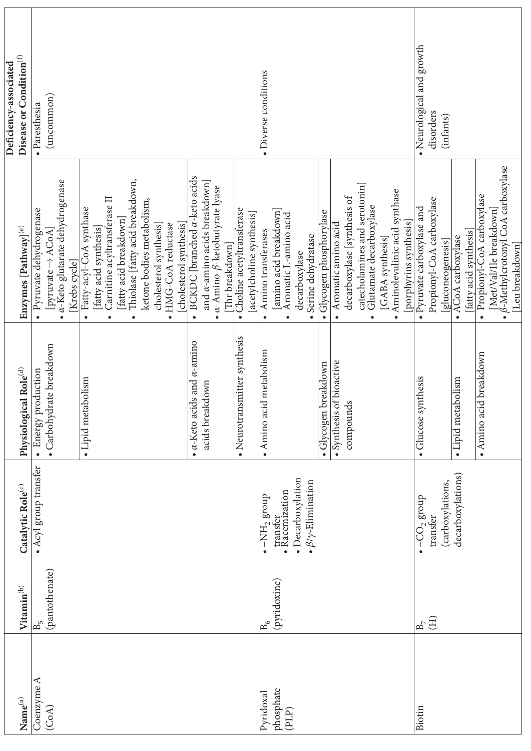|                                 |                                  |                                                                                                                              |                                                                       |                                                                                                                                                                                                                                                                                                           | Deficiency-associated                               |
|---------------------------------|----------------------------------|------------------------------------------------------------------------------------------------------------------------------|-----------------------------------------------------------------------|-----------------------------------------------------------------------------------------------------------------------------------------------------------------------------------------------------------------------------------------------------------------------------------------------------------|-----------------------------------------------------|
| $\mathbf{Name}^{(a)}$           | Vitamin <sup>(b)</sup>           | Catalytic Role <sup>(c)</sup>                                                                                                | Physiological Role <sup>(d)</sup>                                     | Enzymes [Pathway] <sup>(e)</sup>                                                                                                                                                                                                                                                                          | Disease or Condition $\hspace{0.02cm}^{(\text{f})}$ |
| Coenzyme A<br>(CoA)             | (pantothenate)<br>$\mathbf{B}_5$ | • Acyl group transfer                                                                                                        | · Carbohydrate breakdown<br>Energy production<br>$\bullet$            | $\bullet$ $\alpha$ -Keto glutarate dehydrogenase<br>Pyruvate dehydrogenase<br>$[pyruvate \rightarrow ACoA]$<br>[Krebs cycle]                                                                                                                                                                              | (uncommon)<br>· Paresthesia                         |
|                                 |                                  |                                                                                                                              | · Lipid metabolism                                                    | Thiolase [fatty acid breakdown,<br>Carnitine acyltransferase II<br>ketone bodies metabolism,<br>Fatty-acyl-CoA synthase<br>[fatty acid breakdown]<br>[cholesterol synthesis]<br>HMG-CoA reductase<br>cholesterol synthesis]<br>[fatty acid synthesis]<br>$\bullet$<br>$\bullet$<br>$\bullet$<br>$\bullet$ |                                                     |
|                                 |                                  |                                                                                                                              | $\bullet$ $\alpha$ -Keto acids and $\alpha$ -amino<br>acids breakdown | BCKDC [branched a-keto acids<br>and $\alpha$ -amino acids breakdown]<br>$\alpha$ -Amino- $\beta$ -ketobutyrate lyase<br>Thr breakdown<br>$\bullet$                                                                                                                                                        |                                                     |
|                                 |                                  |                                                                                                                              | • Neurotransmitter synthesis                                          | Choline acetyltransferase<br>[acetylcholine synthesis]<br>$\bullet$                                                                                                                                                                                                                                       |                                                     |
| phosphate<br>Pyridoxal<br>(PLP) | (pyridoxine)<br>$\mathbf{B}_6$   | · Decarboxylation<br>$\bullet$ $\beta/\gamma$ -Elimination<br>transfer<br>• Racemization<br>$\bullet$ -NH <sub>2</sub> group | · Amino acid metabolism                                               | [amino acid breakdown]<br>Aromatic L-amino acid<br>Amino transferases<br>Serine dehydratase<br>decarboxylase<br>$\bullet$<br>$\bullet$<br>$\bullet$                                                                                                                                                       | • Diverse conditions                                |
|                                 |                                  |                                                                                                                              | oreakdown<br>Glycogen I                                               | Glycogen phosphorylase                                                                                                                                                                                                                                                                                    |                                                     |
|                                 |                                  |                                                                                                                              | · Synthesis of bioactive                                              | Aromatic amino acid<br>$\bullet$                                                                                                                                                                                                                                                                          |                                                     |
|                                 |                                  |                                                                                                                              | S<br>compound                                                         | catecholamines and serotonin]<br>decarboxylase [synthesis of<br>Glutamate decarboxylase<br>$\bullet$                                                                                                                                                                                                      |                                                     |
|                                 |                                  |                                                                                                                              |                                                                       | Aminolevulinic acid synthase<br>[porphyrins synthesis]<br>[GABA synthesis]<br>$\bullet$                                                                                                                                                                                                                   |                                                     |
| Biotin                          | $\mathbf{B}_7$                   | $-CO2$ group                                                                                                                 | nthesis<br>· Glucose sy                                               | · Pyruvate carboxylase and                                                                                                                                                                                                                                                                                | Neurological and growth                             |
|                                 | (H)                              | (carboxylations,<br>transfer                                                                                                 |                                                                       | Propionyl-CoA carboxylase<br>[gluconeogenesis]                                                                                                                                                                                                                                                            | disorders<br>(infants)                              |
|                                 |                                  | decarboxylations)                                                                                                            | · Lipid metabolism                                                    | ACoA carboxylase<br>$\bullet$                                                                                                                                                                                                                                                                             |                                                     |
|                                 |                                  |                                                                                                                              |                                                                       | [fatty acid synthesis]                                                                                                                                                                                                                                                                                    |                                                     |
|                                 |                                  |                                                                                                                              | • Amino acid breakdown                                                | ß-Methylcrotonyl CoA carboxylase<br>Propionyl-CoA carboxylase<br>Met/Val/Ile breakdown]<br>Leu breakdown<br>$\bullet$<br>$\bullet$                                                                                                                                                                        |                                                     |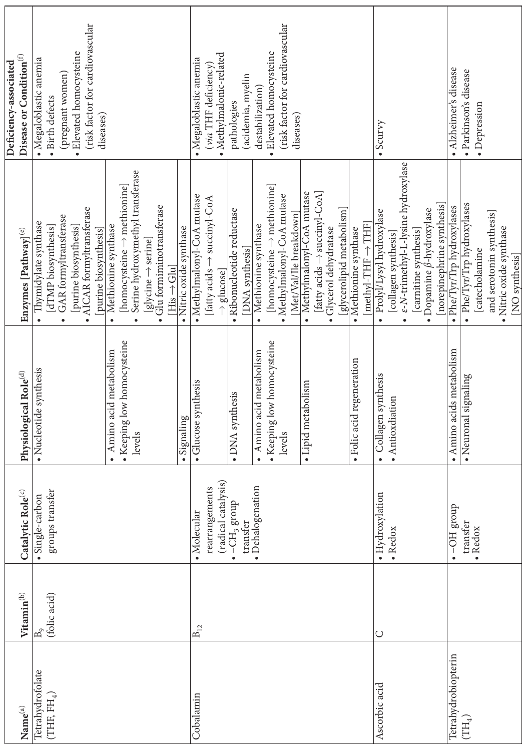|                                |                        |                                     |                                    |                                               | Deficiency-associated               |
|--------------------------------|------------------------|-------------------------------------|------------------------------------|-----------------------------------------------|-------------------------------------|
| $\mathbf{Name}^{(\mathrm{a})}$ | Vitamin <sup>(b)</sup> | Catalytic Role <sup>(c)</sup>       | Physiological Role <sup>(d)</sup>  | Enzymes [Pathway] <sup>(e)</sup>              | Disease or Condition <sup>(f)</sup> |
| Tetrahydrofolate               | $\mathrm{B}_9$         | · Single-carbon                     | · Nucleotide synthesis             | Thymidylate synthase<br>$\bullet$             | $\bullet$ Megaloblastic anemia      |
| (THE FH <sub>4</sub> )         | (folic acid)           | groups transfer                     |                                    | [dTMP biosynthesis]                           | · Birth defects                     |
|                                |                        |                                     |                                    | GAR formyltransferase<br>$\bullet$            | (pregnant women)                    |
|                                |                        |                                     |                                    | [purine biosynthesis]                         | · Elevated homocysteine             |
|                                |                        |                                     |                                    | • AICAR formyltransferase                     | (risk factor for cardiovascular     |
|                                |                        |                                     |                                    | [purine biosynthesis]                         | diseases)                           |
|                                |                        |                                     | Amino acid metabolism              | Methionine synthase<br>$\bullet$              |                                     |
|                                |                        |                                     | • Keeping low homocysteine         | [homocysteine $\rightarrow$ methionine]       |                                     |
|                                |                        |                                     | levels                             | Serine hydroxymethyl transferase<br>$\bullet$ |                                     |
|                                |                        |                                     |                                    | [glycine → serine]                            |                                     |
|                                |                        |                                     |                                    | · Glu formiminotransferase                    |                                     |
|                                |                        |                                     |                                    | $His \rightarrow Glu$                         |                                     |
|                                |                        |                                     | · Signaling                        | · Nitric oxide synthase                       |                                     |
| Cobalamin                      | $B_{12}$               | · Molecular                         | · Glucose synthesis                | • Methylmalonyl-CoA mutase                    | $\bullet$ Megaloblastic anemia      |
|                                |                        | rearrangements                      |                                    | $\rightarrow$ succinyl-CoA<br>[fatty acids    | (via THF deficiency)                |
|                                |                        | (radical catalysis)                 |                                    | $\rightarrow$ glucose]                        | · Methylmalonic-related             |
|                                |                        | -CH <sub>3</sub> group<br>$\bullet$ | · DNA synthesis                    | · Ribonucleotide reductase                    | pathologies                         |
|                                |                        | transfer                            |                                    | [DNA synthesis]                               | (acidemia, myelin                   |
|                                |                        | · Dehalogenation                    | Amino acid metabolism<br>$\bullet$ | Methionine synthase<br>$\bullet$              | destabilization)                    |
|                                |                        |                                     | • Keeping low homocysteine         | [homocysteine $\rightarrow$ methionine]       | · Elevated homocysteine             |
|                                |                        |                                     | levels                             | • Methylmalonyl-CoA mutase                    | (risk factor for cardiovascular     |
|                                |                        |                                     |                                    | [Met/Val/Ile breakdown]                       | diseases)                           |
|                                |                        |                                     | · Lipid metabolism                 | Methylmalonyl-CoA mutase<br>$\bullet$         |                                     |
|                                |                        |                                     |                                    | [fatty acids $\rightarrow$ succinyl-CoA]      |                                     |
|                                |                        |                                     |                                    | Glycerol dehydratase                          |                                     |
|                                |                        |                                     |                                    | [glycerolipid metabolism]                     |                                     |
|                                |                        |                                     | · Folic acid regeneration          | • Methionine synthase                         |                                     |
|                                |                        |                                     |                                    | $[{\rm methyl-THF}\rightarrow {\rm THF}]$     |                                     |
| Ascorbic acid                  | $\cup$                 | · Hydroxylation                     | · Collagen synthesis               | Prolyl/Lysyl hydroxylase<br>$\bullet$         | $\sim$ Scurvy                       |
|                                |                        | $\bullet$ Redox                     | · Antioxdiation                    | [collagen synthesis]                          |                                     |
|                                |                        |                                     |                                    | e-N-trimethyl-L-lysine hydroxylase            |                                     |
|                                |                        |                                     |                                    | [carnitine synthesis]                         |                                     |
|                                |                        |                                     |                                    | • Dopamine $\beta$ -hydroxylase               |                                     |
|                                |                        |                                     |                                    | [norepinephrine synthesis]                    |                                     |
| Tetrahydrobiopterin            |                        | dnou <sup>8</sup> HO-               | · Amino acids metabolism           | • Phe/Tyr/Trp hydroxylases                    | • Alzheimer's disease               |
| $\left( \rm{TH}_{4}\right)$    |                        | transfer                            | gnaling<br>• Neuronal si           | Phe/Tyr/Trp hydroxylases                      | · Parkinson's disease               |
|                                |                        | • Redox                             |                                    | [catecholamine                                | · Depression                        |
|                                |                        |                                     |                                    | and serotonin synthesis]                      |                                     |
|                                |                        |                                     |                                    | · Nitric oxide synthase                       |                                     |
|                                |                        |                                     |                                    | [NO synthesis]                                |                                     |